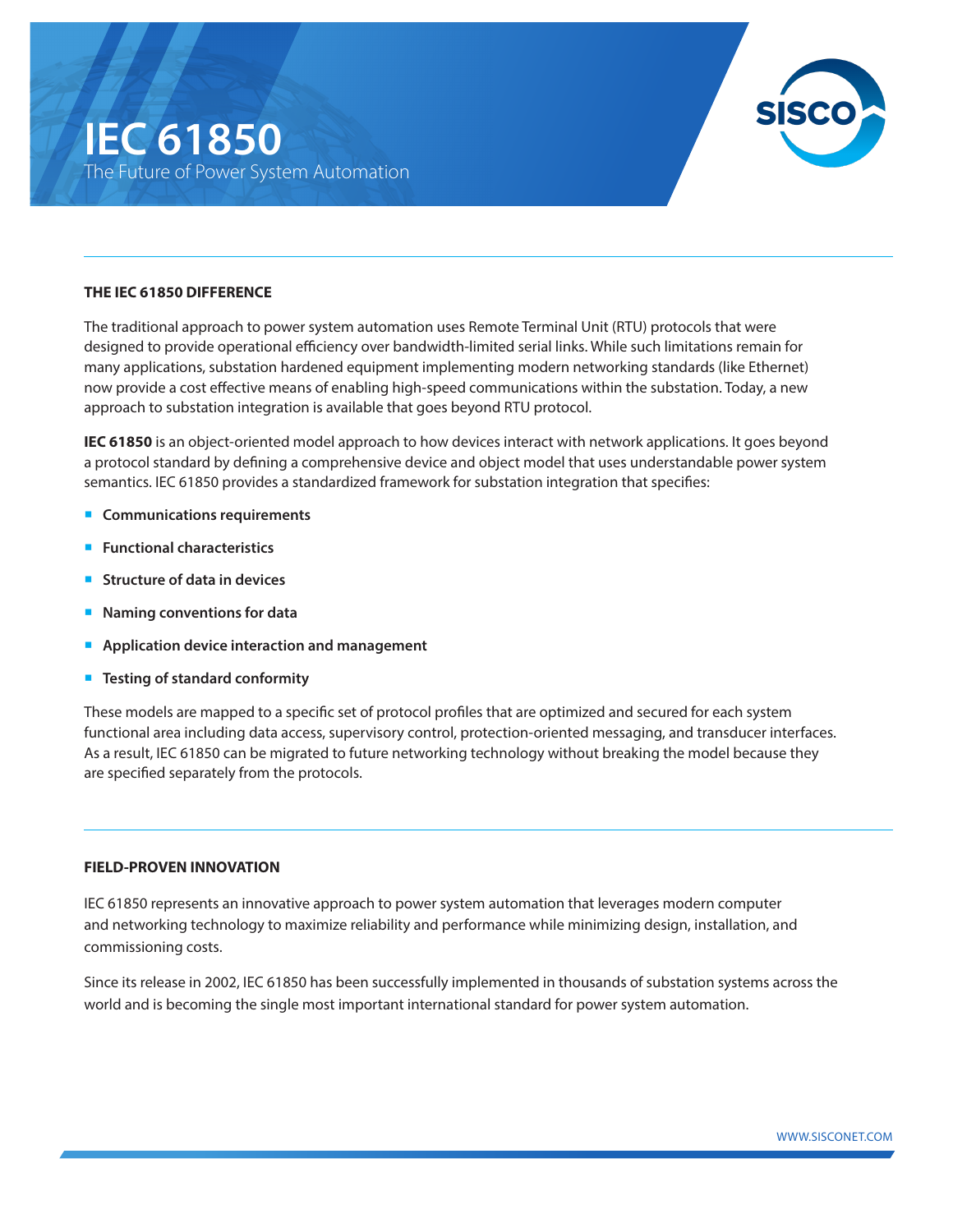## **IEC 61850** The Future of Power System Automation



## **THE IEC 61850 DIFFERENCE**

The traditional approach to power system automation uses Remote Terminal Unit (RTU) protocols that were designed to provide operational efficiency over bandwidth-limited serial links. While such limitations remain for many applications, substation hardened equipment implementing modern networking standards (like Ethernet) now provide a cost effective means of enabling high-speed communications within the substation. Today, a new approach to substation integration is available that goes beyond RTU protocol.

**IEC 61850** is an object-oriented model approach to how devices interact with network applications. It goes beyond a protocol standard by defining a comprehensive device and object model that uses understandable power system semantics. IEC 61850 provides a standardized framework for substation integration that specifies:

- ¡ **Communications requirements**
- **Functional characteristics**
- **Structure of data in devices**
- ¡ **Naming conventions for data**
- ¡ **Application device interaction and management**
- ¡ **Testing of standard conformity**

These models are mapped to a specific set of protocol profiles that are optimized and secured for each system functional area including data access, supervisory control, protection-oriented messaging, and transducer interfaces. As a result, IEC 61850 can be migrated to future networking technology without breaking the model because they are specified separately from the protocols.

## **FIELD-PROVEN INNOVATION**

IEC 61850 represents an innovative approach to power system automation that leverages modern computer and networking technology to maximize reliability and performance while minimizing design, installation, and commissioning costs.

Since its release in 2002, IEC 61850 has been successfully implemented in thousands of substation systems across the world and is becoming the single most important international standard for power system automation.